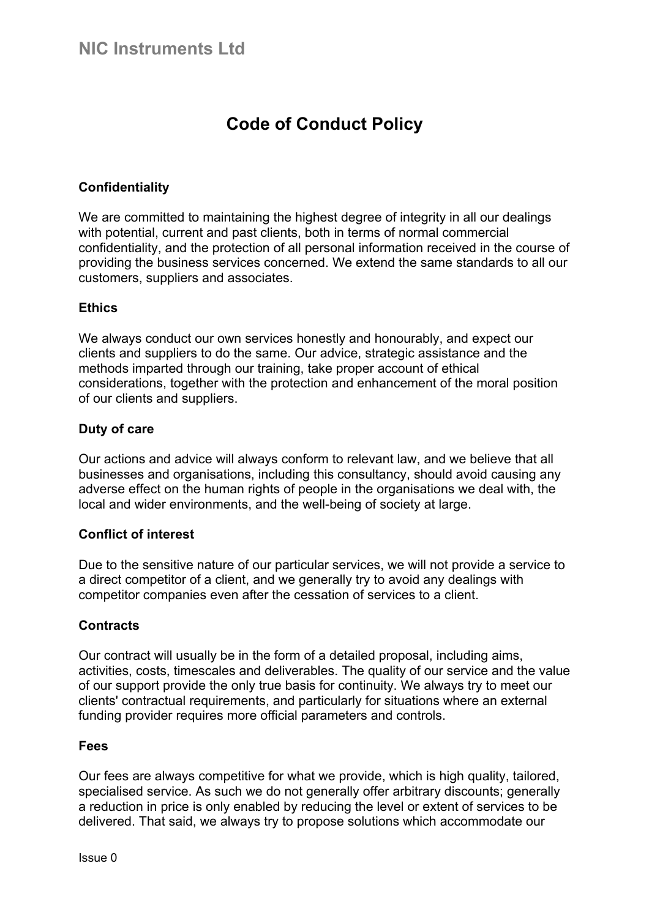# **Code of Conduct Policy**

# **Confidentiality**

We are committed to maintaining the highest degree of integrity in all our dealings with potential, current and past clients, both in terms of normal commercial confidentiality, and the protection of all personal information received in the course of providing the business services concerned. We extend the same standards to all our customers, suppliers and associates.

### **Ethics**

We always conduct our own services honestly and honourably, and expect our clients and suppliers to do the same. Our advice, strategic assistance and the methods imparted through our training, take proper account of ethical considerations, together with the protection and enhancement of the moral position of our clients and suppliers.

# **Duty of care**

Our actions and advice will always conform to relevant law, and we believe that all businesses and organisations, including this consultancy, should avoid causing any adverse effect on the human rights of people in the organisations we deal with, the local and wider environments, and the well-being of society at large.

# **Conflict of interest**

Due to the sensitive nature of our particular services, we will not provide a service to a direct competitor of a client, and we generally try to avoid any dealings with competitor companies even after the cessation of services to a client.

# **Contracts**

Our contract will usually be in the form of a detailed proposal, including aims, activities, costs, timescales and deliverables. The quality of our service and the value of our support provide the only true basis for continuity. We always try to meet our clients' contractual requirements, and particularly for situations where an external funding provider requires more official parameters and controls.

### **Fees**

Our fees are always competitive for what we provide, which is high quality, tailored, specialised service. As such we do not generally offer arbitrary discounts; generally a reduction in price is only enabled by reducing the level or extent of services to be delivered. That said, we always try to propose solutions which accommodate our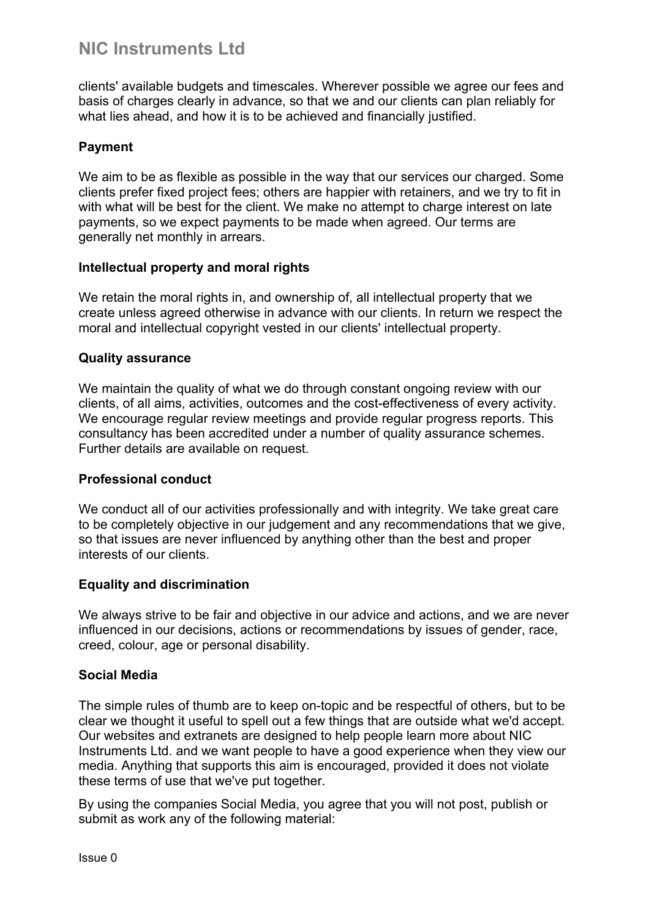# **NIC Instruments Ltd**

clients' available budgets and timescales. Wherever possible we agree our fees and basis of charges clearly in advance, so that we and our clients can plan reliably for what lies ahead, and how it is to be achieved and financially justified.

# **Payment**

We aim to be as flexible as possible in the way that our services our charged. Some clients prefer fixed project fees; others are happier with retainers, and we try to fit in with what will be best for the client. We make no attempt to charge interest on late payments, so we expect payments to be made when agreed. Our terms are generally net monthly in arrears.

# **Intellectual property and moral rights**

We retain the moral rights in, and ownership of, all intellectual property that we create unless agreed otherwise in advance with our clients. In return we respect the moral and intellectual copyright vested in our clients' intellectual property.

# **Quality assurance**

We maintain the quality of what we do through constant ongoing review with our clients, of all aims, activities, outcomes and the cost-effectiveness of every activity. We encourage regular review meetings and provide regular progress reports. This consultancy has been accredited under a number of quality assurance schemes. Further details are available on request.

### **Professional conduct**

We conduct all of our activities professionally and with integrity. We take great care to be completely objective in our judgement and any recommendations that we give, so that issues are never influenced by anything other than the best and proper interests of our clients.

### **Equality and discrimination**

We always strive to be fair and objective in our advice and actions, and we are never influenced in our decisions, actions or recommendations by issues of gender, race, creed, colour, age or personal disability.

# **Social Media**

The simple rules of thumb are to keep on-topic and be respectful of others, but to be clear we thought it useful to spell out a few things that are outside what we'd accept. Our websites and extranets are designed to help people learn more about NIC Instruments Ltd. and we want people to have a good experience when they view our media. Anything that supports this aim is encouraged, provided it does not violate these terms of use that we've put together.

By using the companies Social Media, you agree that you will not post, publish or submit as work any of the following material: